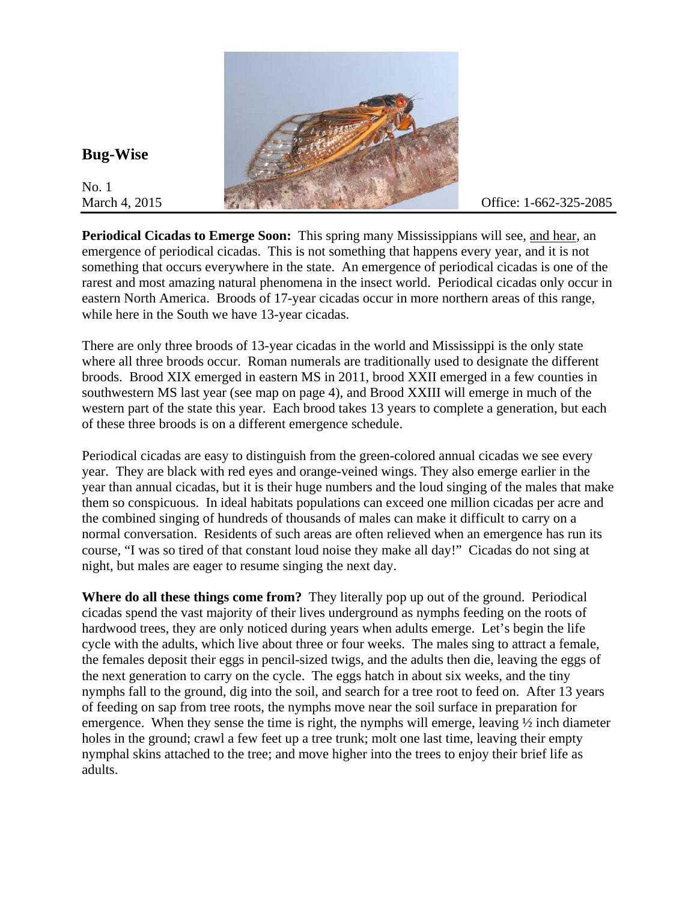

## **Bug-Wise**

No. 1

**Periodical Cicadas to Emerge Soon:** This spring many Mississippians will see, and hear, an emergence of periodical cicadas. This is not something that happens every year, and it is not something that occurs everywhere in the state. An emergence of periodical cicadas is one of the rarest and most amazing natural phenomena in the insect world. Periodical cicadas only occur in eastern North America. Broods of 17-year cicadas occur in more northern areas of this range, while here in the South we have 13-year cicadas.

There are only three broods of 13-year cicadas in the world and Mississippi is the only state where all three broods occur. Roman numerals are traditionally used to designate the different broods. Brood XIX emerged in eastern MS in 2011, brood XXII emerged in a few counties in southwestern MS last year (see map on page 4), and Brood XXIII will emerge in much of the western part of the state this year. Each brood takes 13 years to complete a generation, but each of these three broods is on a different emergence schedule.

Periodical cicadas are easy to distinguish from the green-colored annual cicadas we see every year. They are black with red eyes and orange-veined wings. They also emerge earlier in the year than annual cicadas, but it is their huge numbers and the loud singing of the males that make them so conspicuous. In ideal habitats populations can exceed one million cicadas per acre and the combined singing of hundreds of thousands of males can make it difficult to carry on a normal conversation. Residents of such areas are often relieved when an emergence has run its course, "I was so tired of that constant loud noise they make all day!" Cicadas do not sing at night, but males are eager to resume singing the next day.

**Where do all these things come from?** They literally pop up out of the ground.Periodical cicadas spend the vast majority of their lives underground as nymphs feeding on the roots of hardwood trees, they are only noticed during years when adults emerge. Let's begin the life cycle with the adults, which live about three or four weeks. The males sing to attract a female, the females deposit their eggs in pencil-sized twigs, and the adults then die, leaving the eggs of the next generation to carry on the cycle. The eggs hatch in about six weeks, and the tiny nymphs fall to the ground, dig into the soil, and search for a tree root to feed on. After 13 years of feeding on sap from tree roots, the nymphs move near the soil surface in preparation for emergence. When they sense the time is right, the nymphs will emerge, leaving  $\frac{1}{2}$  inch diameter holes in the ground; crawl a few feet up a tree trunk; molt one last time, leaving their empty nymphal skins attached to the tree; and move higher into the trees to enjoy their brief life as adults.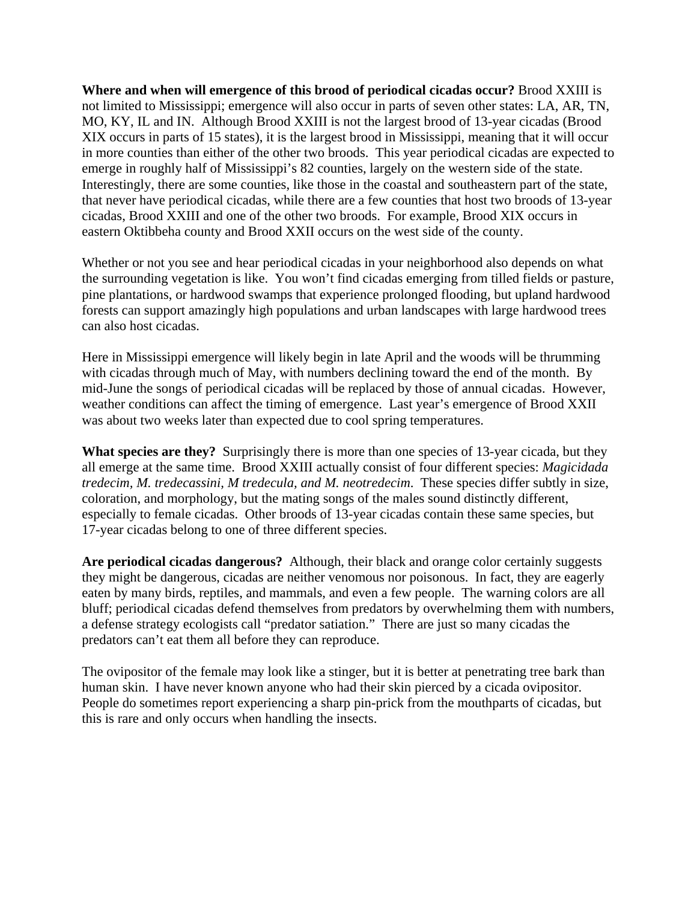**Where and when will emergence of this brood of periodical cicadas occur?** Brood XXIII is not limited to Mississippi; emergence will also occur in parts of seven other states: LA, AR, TN, MO, KY, IL and IN. Although Brood XXIII is not the largest brood of 13-year cicadas (Brood XIX occurs in parts of 15 states), it is the largest brood in Mississippi, meaning that it will occur in more counties than either of the other two broods. This year periodical cicadas are expected to emerge in roughly half of Mississippi's 82 counties, largely on the western side of the state. Interestingly, there are some counties, like those in the coastal and southeastern part of the state, that never have periodical cicadas, while there are a few counties that host two broods of 13-year cicadas, Brood XXIII and one of the other two broods. For example, Brood XIX occurs in eastern Oktibbeha county and Brood XXII occurs on the west side of the county.

Whether or not you see and hear periodical cicadas in your neighborhood also depends on what the surrounding vegetation is like. You won't find cicadas emerging from tilled fields or pasture, pine plantations, or hardwood swamps that experience prolonged flooding, but upland hardwood forests can support amazingly high populations and urban landscapes with large hardwood trees can also host cicadas.

Here in Mississippi emergence will likely begin in late April and the woods will be thrumming with cicadas through much of May, with numbers declining toward the end of the month. By mid-June the songs of periodical cicadas will be replaced by those of annual cicadas. However, weather conditions can affect the timing of emergence. Last year's emergence of Brood XXII was about two weeks later than expected due to cool spring temperatures.

**What species are they?** Surprisingly there is more than one species of 13-year cicada, but they all emerge at the same time. Brood XXIII actually consist of four different species: *Magicidada tredecim, M. tredecassini, M tredecula, and M. neotredecim*. These species differ subtly in size, coloration, and morphology, but the mating songs of the males sound distinctly different, especially to female cicadas. Other broods of 13-year cicadas contain these same species, but 17-year cicadas belong to one of three different species.

**Are periodical cicadas dangerous?** Although, their black and orange color certainly suggests they might be dangerous, cicadas are neither venomous nor poisonous. In fact, they are eagerly eaten by many birds, reptiles, and mammals, and even a few people. The warning colors are all bluff; periodical cicadas defend themselves from predators by overwhelming them with numbers, a defense strategy ecologists call "predator satiation." There are just so many cicadas the predators can't eat them all before they can reproduce.

The ovipositor of the female may look like a stinger, but it is better at penetrating tree bark than human skin. I have never known anyone who had their skin pierced by a cicada ovipositor. People do sometimes report experiencing a sharp pin-prick from the mouthparts of cicadas, but this is rare and only occurs when handling the insects.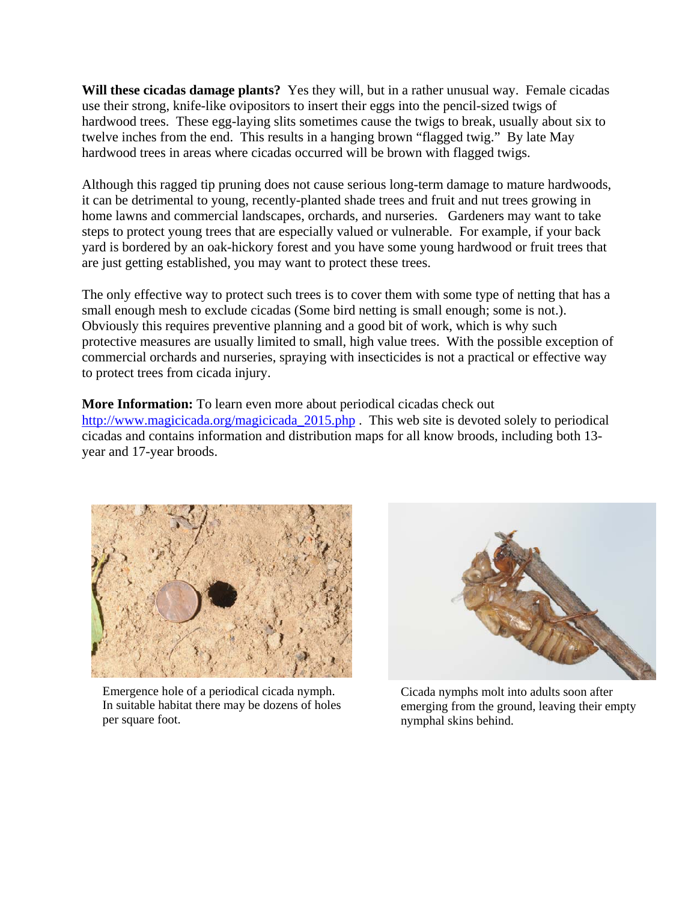**Will these cicadas damage plants?** Yes they will, but in a rather unusual way. Female cicadas use their strong, knife-like ovipositors to insert their eggs into the pencil-sized twigs of hardwood trees. These egg-laying slits sometimes cause the twigs to break, usually about six to twelve inches from the end. This results in a hanging brown "flagged twig." By late May hardwood trees in areas where cicadas occurred will be brown with flagged twigs.

Although this ragged tip pruning does not cause serious long-term damage to mature hardwoods, it can be detrimental to young, recently-planted shade trees and fruit and nut trees growing in home lawns and commercial landscapes, orchards, and nurseries. Gardeners may want to take steps to protect young trees that are especially valued or vulnerable. For example, if your back yard is bordered by an oak-hickory forest and you have some young hardwood or fruit trees that are just getting established, you may want to protect these trees.

The only effective way to protect such trees is to cover them with some type of netting that has a small enough mesh to exclude cicadas (Some bird netting is small enough; some is not.). Obviously this requires preventive planning and a good bit of work, which is why such protective measures are usually limited to small, high value trees. With the possible exception of commercial orchards and nurseries, spraying with insecticides is not a practical or effective way to protect trees from cicada injury.

**More Information:** To learn even more about periodical cicadas check out http://www.magicicada.org/magicicada 2015.php . This web site is devoted solely to periodical cicadas and contains information and distribution maps for all know broods, including both 13 year and 17-year broods.



 Emergence hole of a periodical cicada nymph. In suitable habitat there may be dozens of holes per square foot.



Cicada nymphs molt into adults soon after emerging from the ground, leaving their empty nymphal skins behind.